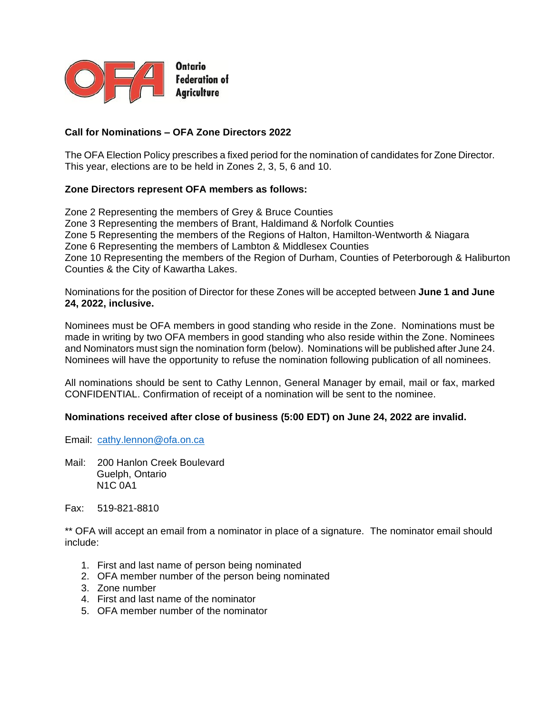

## **Call for Nominations – OFA Zone Directors 2022**

The OFA Election Policy prescribes a fixed period for the nomination of candidates for Zone Director. This year, elections are to be held in Zones 2, 3, 5, 6 and 10.

### **Zone Directors represent OFA members as follows:**

Zone 2 Representing the members of Grey & Bruce Counties Zone 3 Representing the members of Brant, Haldimand & Norfolk Counties Zone 5 Representing the members of the Regions of Halton, Hamilton-Wentworth & Niagara Zone 6 Representing the members of Lambton & Middlesex Counties Zone 10 Representing the members of the Region of Durham, Counties of Peterborough & Haliburton Counties & the City of Kawartha Lakes.

Nominations for the position of Director for these Zones will be accepted between **June 1 and June 24, 2022, inclusive.** 

Nominees must be OFA members in good standing who reside in the Zone. Nominations must be made in writing by two OFA members in good standing who also reside within the Zone. Nominees and Nominators must sign the nomination form (below). Nominations will be published after June 24. Nominees will have the opportunity to refuse the nomination following publication of all nominees.

All nominations should be sent to Cathy Lennon, General Manager by email, mail or fax, marked CONFIDENTIAL. Confirmation of receipt of a nomination will be sent to the nominee.

#### **Nominations received after close of business (5:00 EDT) on June 24, 2022 are invalid.**

Email: [cathy.lennon@ofa.on.ca](mailto:cathy.lennon@ofa.on.ca)

Mail: 200 Hanlon Creek Boulevard Guelph, Ontario N1C 0A1

Fax: 519-821-8810

\*\* OFA will accept an email from a nominator in place of a signature. The nominator email should include:

- 1. First and last name of person being nominated
- 2. OFA member number of the person being nominated
- 3. Zone number
- 4. First and last name of the nominator
- 5. OFA member number of the nominator